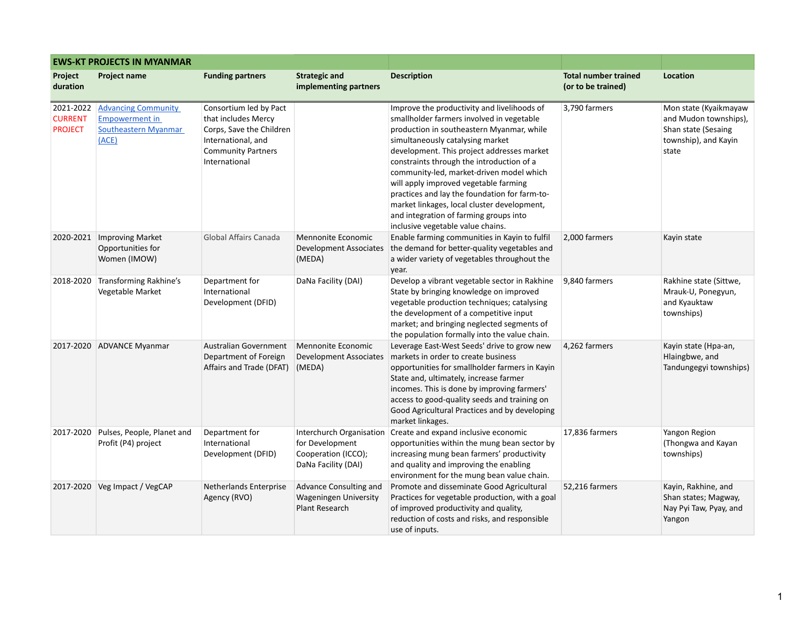| <b>EWS-KT PROJECTS IN MYANMAR</b>             |                                                                                      |                                                                                                                                               |                                                                                           |                                                                                                                                                                                                                                                                                                                                                                                                                                                                                                                                          |                                                   |                                                                                                        |  |  |
|-----------------------------------------------|--------------------------------------------------------------------------------------|-----------------------------------------------------------------------------------------------------------------------------------------------|-------------------------------------------------------------------------------------------|------------------------------------------------------------------------------------------------------------------------------------------------------------------------------------------------------------------------------------------------------------------------------------------------------------------------------------------------------------------------------------------------------------------------------------------------------------------------------------------------------------------------------------------|---------------------------------------------------|--------------------------------------------------------------------------------------------------------|--|--|
| Project<br>duration                           | <b>Project name</b>                                                                  | <b>Funding partners</b>                                                                                                                       | <b>Strategic and</b><br>implementing partners                                             | <b>Description</b>                                                                                                                                                                                                                                                                                                                                                                                                                                                                                                                       | <b>Total number trained</b><br>(or to be trained) | Location                                                                                               |  |  |
| 2021-2022<br><b>CURRENT</b><br><b>PROJECT</b> | <b>Advancing Community</b><br><b>Empowerment in</b><br>Southeastern Myanmar<br>(ACE) | Consortium led by Pact<br>that includes Mercy<br>Corps, Save the Children<br>International, and<br><b>Community Partners</b><br>International |                                                                                           | Improve the productivity and livelihoods of<br>smallholder farmers involved in vegetable<br>production in southeastern Myanmar, while<br>simultaneously catalysing market<br>development. This project addresses market<br>constraints through the introduction of a<br>community-led, market-driven model which<br>will apply improved vegetable farming<br>practices and lay the foundation for farm-to-<br>market linkages, local cluster development,<br>and integration of farming groups into<br>inclusive vegetable value chains. | 3,790 farmers                                     | Mon state (Kyaikmayaw<br>and Mudon townships),<br>Shan state (Sesaing<br>township), and Kayin<br>state |  |  |
|                                               | 2020-2021   Improving Market<br>Opportunities for<br>Women (IMOW)                    | Global Affairs Canada                                                                                                                         | Mennonite Economic<br>Development Associates<br>(MEDA)                                    | Enable farming communities in Kayin to fulfil<br>the demand for better-quality vegetables and<br>a wider variety of vegetables throughout the<br>year.                                                                                                                                                                                                                                                                                                                                                                                   | 2,000 farmers                                     | Kayin state                                                                                            |  |  |
| 2018-2020                                     | Transforming Rakhine's<br>Vegetable Market                                           | Department for<br>International<br>Development (DFID)                                                                                         | DaNa Facility (DAI)                                                                       | Develop a vibrant vegetable sector in Rakhine<br>State by bringing knowledge on improved<br>vegetable production techniques; catalysing<br>the development of a competitive input<br>market; and bringing neglected segments of<br>the population formally into the value chain.                                                                                                                                                                                                                                                         | 9,840 farmers                                     | Rakhine state (Sittwe,<br>Mrauk-U, Ponegyun,<br>and Kyauktaw<br>townships)                             |  |  |
|                                               | 2017-2020 ADVANCE Myanmar                                                            | Australian Government<br>Department of Foreign<br>Affairs and Trade (DFAT)                                                                    | Mennonite Economic<br>Development Associates<br>(MEDA)                                    | Leverage East-West Seeds' drive to grow new<br>markets in order to create business<br>opportunities for smallholder farmers in Kayin<br>State and, ultimately, increase farmer<br>incomes. This is done by improving farmers'<br>access to good-quality seeds and training on<br>Good Agricultural Practices and by developing<br>market linkages.                                                                                                                                                                                       | 4,262 farmers                                     | Kayin state (Hpa-an,<br>Hlaingbwe, and<br>Tandungegyi townships)                                       |  |  |
| 2017-2020                                     | Pulses, People, Planet and<br>Profit (P4) project                                    | Department for<br>International<br>Development (DFID)                                                                                         | Interchurch Organisation<br>for Development<br>Cooperation (ICCO);<br>DaNa Facility (DAI) | Create and expand inclusive economic<br>opportunities within the mung bean sector by<br>increasing mung bean farmers' productivity<br>and quality and improving the enabling<br>environment for the mung bean value chain.                                                                                                                                                                                                                                                                                                               | 17,836 farmers                                    | Yangon Region<br>(Thongwa and Kayan<br>townships)                                                      |  |  |
| 2017-2020                                     | Veg Impact / VegCAP                                                                  | Netherlands Enterprise<br>Agency (RVO)                                                                                                        | Advance Consulting and<br><b>Wageningen University</b><br><b>Plant Research</b>           | Promote and disseminate Good Agricultural<br>Practices for vegetable production, with a goal<br>of improved productivity and quality,<br>reduction of costs and risks, and responsible<br>use of inputs.                                                                                                                                                                                                                                                                                                                                 | 52,216 farmers                                    | Kayin, Rakhine, and<br>Shan states; Magway,<br>Nay Pyi Taw, Pyay, and<br>Yangon                        |  |  |